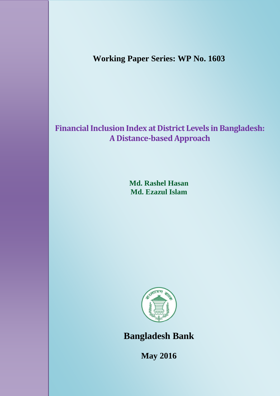**Working Paper Series: WP No. 1603**

# **Financial Inclusion Index at District Levels in Bangladesh: A Distance-based Approach**

**Md. Rashel Hasan Md. Ezazul Islam**



**Bangladesh Bank**

**May 2016**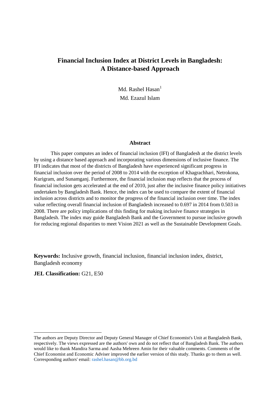# **Financial Inclusion Index at District Levels in Bangladesh: A Distance-based Approach**

Md. Rashel Hasan<sup>1</sup> Md. Ezazul Islam

#### **Abstract**

This paper computes an index of financial inclusion (IFI) of Bangladesh at the district levels by using a distance based approach and incorporating various dimensions of inclusive finance. The IFI indicates that most of the districts of Bangladesh have experienced significant progress in financial inclusion over the period of 2008 to 2014 with the exception of Khagrachhari, Netrokona, Kurigram, and Sunamganj. Furthermore, the financial inclusion map reflects that the process of financial inclusion gets accelerated at the end of 2010, just after the inclusive finance policy initiatives undertaken by Bangladesh Bank. Hence, the index can be used to compare the extent of financial inclusion across districts and to monitor the progress of the financial inclusion over time. The index value reflecting overall financial inclusion of Bangladesh increased to 0.697 in 2014 from 0.503 in 2008. There are policy implications of this finding for making inclusive finance strategies in Bangladesh. The index may guide Bangladesh Bank and the Government to pursue inclusive growth for reducing regional disparities to meet Vision 2021 as well as the Sustainable Development Goals.

**Keywords:** Inclusive growth, financial inclusion, financial inclusion index, district, Bangladesh economy

#### **JEL Classification:** G21, E50

**.** 

The authors are Deputy Director and Deputy General Manager of Chief Economist's Unit at Bangladesh Bank, respectively. The views expressed are the authors' own and do not reflect that of Bangladesh Bank. The authors would like to thank Mandira Sarma and Aasha Mehreen Amin for their valuable comments. Comments of the Chief Economist and Economic Adviser improved the earlier version of this study. Thanks go to them as well. Corresponding authors' email: [rashel.hasan@bb.org.bd](mailto:rashel.hasan@bb.org.bd)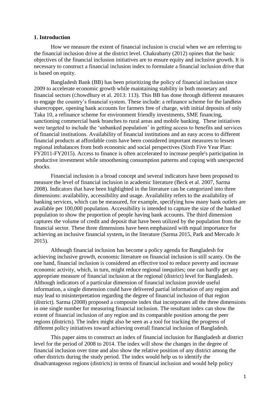#### **1. Introduction**

How we measure the extent of financial inclusion is crucial when we are referring to the financial inclusion drive at the district level. Chakrabarty (2012) opines that the basic objectives of the financial inclusion initiatives are to ensure equity and inclusive growth. It is necessary to construct a financial inclusion index to formulate a financial inclusion drive that is based on equity.

Bangladesh Bank (BB) has been prioritizing the policy of financial inclusion since 2009 to accelerate economic growth while maintaining stability in both monetary and financial sectors (Chowdhury et al. 2013: 113). This BB has done through different measures to engage the country's financial system. These include: a refinance scheme for the landless sharecropper, opening bank accounts for farmers free of charge, with initial deposits of only Taka 10, a refinance scheme for environment friendly investments, SME financing, sanctioning commercial bank branches to rural areas and mobile banking. These initiatives were targeted to include the 'unbanked population' in getting access to benefits and services of financial institutions. Availability of financial institutions and an easy access to different financial products at affordable costs have been considered important measures to lessen regional imbalances from both economic and social perspectives (Sixth Five Year Plan: FY2011-FY2015). Access to finance is often accelerated to increase people's participation in productive investment while smoothening consumption patterns and coping with unexpected shocks.

Financial inclusion is a broad concept and several indicators have been proposed to measure the level of financial inclusion in academic literature (Beck et al. 2007, Sarma 2008). Indicators that have been highlighted in the literature can be categorized into three dimensions: availability, accessibility and usage. Availability refers to the availability of banking services, which can be measured, for example, specifying how many bank outlets are available per 100,000 population. Accessibility is intended to capture the size of the banked population to show the proportion of people having bank accounts. The third dimension captures the volume of credit and deposit that have been utilized by the population from the financial sector. These three dimensions have been emphasized with equal importance for achieving an inclusive financial system**,** in the literature (Sarma 2015, Park and Mercado Jr 2015).

Although financial inclusion has become a policy agenda for Bangladesh for achieving inclusive growth, economic literature on financial inclusion is still scanty. On the one hand, financial inclusion is considered an effective tool to reduce poverty and increase economic activity, which, in turn, might reduce regional inequities; one can hardly get any appropriate measure of financial inclusion at the regional (district) level for Bangladesh. Although indicators of a particular dimension of financial inclusion provide useful information, a single dimension could have delivered partial information of any region and may lead to misinterpretation regarding the degree of financial inclusion of that region (district). Sarma (2008) proposed a composite index that incorporates all the three dimensions in one single number for measuring financial inclusion. The resultant index can show the extent of financial inclusion of any region and its comparable position among the peer regions (districts). The index might also be seen as a tool for tracking the progress of different policy initiatives toward achieving overall financial inclusion of Bangladesh.

This paper aims to construct an index of financial inclusion for Bangladesh at district level for the period of 2008 to 2014. The index will show the changes in the degree of financial inclusion over time and also show the relative position of any district among the other districts during the study period. The index would help us to identify the disadvantageous regions (districts) in terms of financial inclusion and would help policy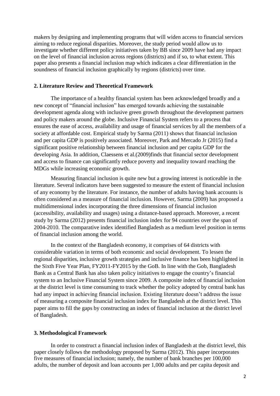makers by designing and implementing programs that will widen access to financial services aiming to reduce regional disparities. Moreover, the study period would allow us to investigate whether different policy initiatives taken by BB since 2009 have had any impact on the level of financial inclusion across regions (districts) and if so, to what extent. This paper also presents a financial inclusion map which indicates a clear differentiation in the soundness of financial inclusion graphically by regions (districts) over time.

#### **2. Literature Review and Theoretical Framework**

The importance of a healthy financial system has been acknowledged broadly and a new concept of "financial inclusion" has emerged towards achieving the sustainable development agenda along with inclusive green growth throughout the development partners and policy makers around the globe. Inclusive Financial System refers to a process that ensures the ease of access, availability and usage of financial services by all the members of a society at affordable cost. Empirical study by Sarma (2011) shows that financial inclusion and per capita GDP is positively associated. Moreover, Park and Mercado Jr (2015) find a significant positive relationship between financial inclusion and per capita GDP for the developing Asia. In addition, Claessens et al.(2009)finds that financial sector development and access to finance can significantly reduce poverty and inequality toward reaching the MDGs while increasing economic growth.

Measuring financial inclusion is quite new but a growing interest is noticeable in the literature. Several indicators have been suggested to measure the extent of financial inclusion of any economy by the literature. For instance, the number of adults having bank accounts is often considered as a measure of financial inclusion. However, Sarma (2009) has proposed a multidimensional index incorporating the three dimensions of financial inclusion (accessibility, availability and usages) using a distance-based approach. Moreover, a recent study by Sarma (2012) presents financial inclusion index for 94 countries over the span of 2004-2010. The comparative index identified Bangladesh as a medium level position in terms of financial inclusion among the world.

In the context of the Bangladesh economy, it comprises of 64 districts with considerable variation in terms of both economic and social development. To lessen the regional disparities, inclusive growth strategies and inclusive finance has been highlighted in the Sixth Five Year Plan, FY2011-FY2015 by the GoB. In line with the Gob, Bangladesh Bank as a Central Bank has also taken policy initiatives to engage the country's financial system to an Inclusive Financial System since 2009. A composite index of financial inclusion at the district level is time consuming to track whether the policy adopted by central bank has had any impact in achieving financial inclusion. Existing literature doesn't address the issue of measuring a composite financial inclusion index for Bangladesh at the district level. This paper aims to fill the gaps by constructing an index of financial inclusion at the district level of Bangladesh.

#### **3. Methodological Framework**

In order to construct a financial inclusion index of Bangladesh at the district level, this paper closely follows the methodology proposed by Sarma (2012). This paper incorporates five measures of financial inclusion; namely, the number of bank branches per 100,000 adults, the number of deposit and loan accounts per 1,000 adults and per capita deposit and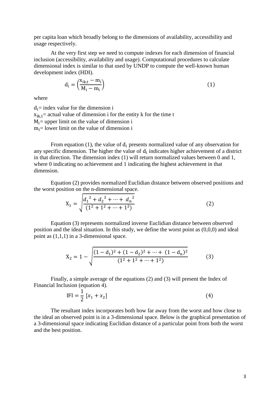per capita loan which broadly belong to the dimensions of availability, accessibility and usage respectively.

At the very first step we need to compute indexes for each dimension of financial inclusion (accessibility, availability and usage). Computational procedures to calculate dimensional index is similar to that used by UNDP to compute the well-known human development index (HDI).

$$
d_i = \left(\frac{x_{ik,t} - m_i}{M_i - m_i}\right) \tag{1}
$$

where

 $d_i$ = index value for the dimension i  $x_{ik,t}$  = actual value of dimension i for the entity k for the time t  $M_i$  = upper limit on the value of dimension i  $m_i$  = lower limit on the value of dimension i

From equation (1), the value of  $d_i$  presents normalized value of any observation for any specific dimension. The higher the value of  $d_i$  indicates higher achievement of a district in that direction. The dimension index (1) will return normalized values between 0 and 1, where 0 indicating no achievement and 1 indicating the highest achievement in that dimension.

Equation (2) provides normalized Euclidian distance between observed positions and the worst position on the n-dimensional space.

$$
X_1 = \sqrt{\frac{{d_1}^2 + {d_2}^2 + \dots + {d_n}^2}{(1^2 + 1^2 + \dots + 1^2)}}
$$
 (2)

Equation (3) represents normalized inverse Euclidian distance between observed position and the ideal situation. In this study, we define the worst point as (0,0,0) and ideal point as (1,1,1) in a 3-dimensional space.

$$
X_2 = 1 - \sqrt{\frac{(1 - d_1)^2 + (1 - d_2)^2 + \dots + (1 - d_n)^2}{(1^2 + 1^2 + \dots + 1^2)}}
$$
(3)

Finally, a simple average of the equations (2) and (3) will present the Index of Financial Inclusion (equation 4).

$$
IFI = \frac{1}{2} [x_1 + x_2]
$$
 (4)

The resultant index incorporates both how far away from the worst and how close to the ideal an observed point is in a 3-dimensional space. Below is the graphical presentation of a 3-dimensional space indicating Euclidian distance of a particular point from both the worst and the best position.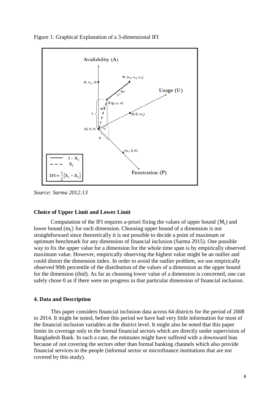

Figure 1: Graphical Explanation of a 3-dimensional IFI

*Source: Sarma 2012:13*

#### **Choice of Upper Limit and Lower Limit**

Computation of the IFI requires a-priori fixing the values of upper bound  $(M_i)$  and lower bound  $(m_i)$  for each dimension. Choosing upper bound of a dimension is not straightforward since theoretically it is not possible to decide a point of maximum or optimum benchmark for any dimension of financial inclusion (Sarma 2015). One possible way to fix the upper value for a dimension for the whole time span is by empirically observed maximum value. However, empirically observing the highest value might be an outlier and could distort the dimension index. In order to avoid the outlier problem, we use empirically observed 90th percentile of the distribution of the values of a dimension as the upper bound for the dimension (ibid). As far as choosing lower value of a dimension is concerned, one can safely chose 0 as if there were no progress in that particular dimension of financial inclusion.

#### **4. Data and Description**

This paper considers financial inclusion data across 64 districts for the period of 2008 to 2014. It might be noted, before this period we have had very little information for most of the financial inclusion variables at the district level. It might also be noted that this paper limits its coverage only to the formal financial sectors which are directly under supervision of Bangladesh Bank. In such a case, the estimates might have suffered with a downward bias because of not covering the sectors other than formal banking channels which also provide financial services to the people (informal sector or microfinance institutions that are not covered by this study).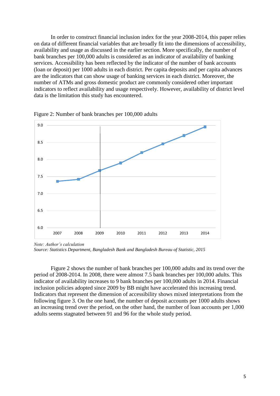In order to construct financial inclusion index for the year 2008-2014, this paper relies on data of different financial variables that are broadly fit into the dimensions of accessibility, availability and usage as discussed in the earlier section. More specifically, the number of bank branches per 100,000 adults is considered as an indicator of availability of banking services. Accessibility has been reflected by the indicator of the number of bank accounts (loan or deposit) per 1000 adults in each district. Per capita deposits and per capita advances are the indicators that can show usage of banking services in each district. Moreover, the number of ATMs and gross domestic product are commonly considered other important indicators to reflect availability and usage respectively. However, availability of district level data is the limitation this study has encountered.



Figure 2: Number of bank branches per 100,000 adults

*Note: Author's calculation Source: Statistics Department, Bangladesh Bank and Bangladesh Bureau of Statistic, 2015*

Figure 2 shows the number of bank branches per 100,000 adults and its trend over the period of 2008-2014. In 2008, there were almost 7.5 bank branches per 100,000 adults. This indicator of availability increases to 9 bank branches per 100,000 adults in 2014. Financial inclusion policies adopted since 2009 by BB might have accelerated this increasing trend. Indicators that represent the dimension of accessibility shows mixed interpretations from the following figure 3. On the one hand, the number of deposit accounts per 1000 adults shows an increasing trend over the period, on the other hand, the number of loan accounts per 1,000 adults seems stagnated between 91 and 96 for the whole study period.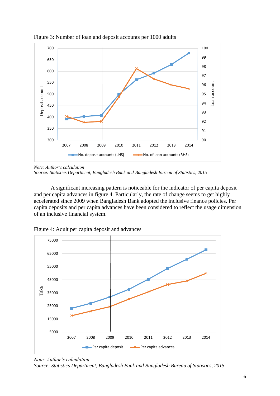

Figure 3: Number of loan and deposit accounts per 1000 adults

A significant increasing pattern is noticeable for the indicator of per capita deposit and per capita advances in figure 4. Particularly, the rate of change seems to get highly accelerated since 2009 when Bangladesh Bank adopted the inclusive finance policies. Per capita deposits and per capita advances have been considered to reflect the usage dimension of an inclusive financial system.





*Note: Author's calculation Source: Statistics Department, Bangladesh Bank and Bangladesh Bureau of Statistics, 2015*

*Note: Author's calculation Source: Statistics Department, Bangladesh Bank and Bangladesh Bureau of Statistics, 2015*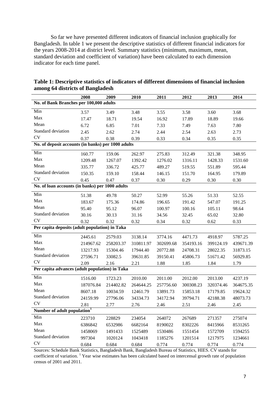So far we have presented different indicators of financial inclusion graphically for Bangladesh. In table 1 we present the descriptive statistics of different financial indicators for the years 2008-2014 at district level. Summary statistics (minimum, maximum, mean, standard deviation and coefficient of variation) have been calculated to each dimension indicator for each time panel.

|                                                    | 2008      | 2009      | 2010      | 2011      | 2012      | 2013      | 2014      |  |  |  |  |
|----------------------------------------------------|-----------|-----------|-----------|-----------|-----------|-----------|-----------|--|--|--|--|
| No. of Bank Branches per 100,000 adults            |           |           |           |           |           |           |           |  |  |  |  |
| Min                                                | 3.57      | 3.49      | 3.48      | 3.55      | 3.58      | 3.60      | 3.68      |  |  |  |  |
| Max                                                | 17.47     | 18.71     | 19.54     | 16.92     | 17.89     | 18.89     | 19.66     |  |  |  |  |
| Mean                                               | 6.72      | 6.85      | 7.01      | 7.33      | 7.49      | 7.63      | 7.80      |  |  |  |  |
| Standard deviation                                 | 2.45      | 2.62      | 2.74      | 2.44      | 2.54      | 2.63      | 2.73      |  |  |  |  |
| <b>CV</b>                                          | 0.37      | 0.38      | 0.39      | 0.33      | 0.34      | 0.35      | 0.35      |  |  |  |  |
| No. of deposit accounts (in banks) per 1000 adults |           |           |           |           |           |           |           |  |  |  |  |
| Min                                                | 160.77    | 159.06    | 262.97    | 275.83    | 312.49    | 321.38    | 348.95    |  |  |  |  |
| Max                                                | 1209.48   | 1267.07   | 1392.42   | 1276.02   | 1316.11   | 1428.33   | 1531.60   |  |  |  |  |
| Mean                                               | 335.77    | 336.72    | 425.77    | 489.27    | 519.55    | 551.89    | 595.44    |  |  |  |  |
| Standard deviation                                 | 150.35    | 159.10    | 158.44    | 146.15    | 151.70    | 164.95    | 179.89    |  |  |  |  |
| <b>CV</b>                                          | 0.45      | 0.47      | 0.37      | 0.30      | 0.29      | 0.30      | 0.30      |  |  |  |  |
| No. of loan accounts (in banks) per 1000 adults    |           |           |           |           |           |           |           |  |  |  |  |
| Min                                                | 51.38     | 49.78     | 50.27     | 52.99     | 55.26     | 51.33     | 52.55     |  |  |  |  |
| Max                                                | 183.67    | 175.36    | 174.86    | 196.65    | 191.42    | 547.07    | 191.25    |  |  |  |  |
| Mean                                               | 95.40     | 95.12     | 96.07     | 100.97    | 100.16    | 105.11    | 98.64     |  |  |  |  |
| Standard deviation                                 | 30.16     | 30.13     | 31.16     | 34.56     | 32.45     | 65.02     | 32.80     |  |  |  |  |
| CV                                                 | 0.32      | 0.32      | 0.32      | 0.34      | 0.32      | 0.62      | 0.33      |  |  |  |  |
| Per capita deposits (adult population) in Taka     |           |           |           |           |           |           |           |  |  |  |  |
| Min                                                | 2445.61   | 2579.03   | 3138.14   | 3774.16   | 4471.73   | 4918.97   | 5787.25   |  |  |  |  |
| Max                                                | 214967.62 | 258203.37 | 310811.97 | 302699.68 | 354193.16 | 399124.19 | 439671.39 |  |  |  |  |
| Mean                                               | 13217.93  | 15304.46  | 17944.40  | 20772.88  | 24708.31  | 28022.35  | 31873.15  |  |  |  |  |
| Standard deviation                                 | 27596.71  | 33082.5   | 39631.85  | 39150.41  | 45806.73  | 51671.42  | 56929.85  |  |  |  |  |
| CV                                                 | 2.09      | 2.16      | 2.21      | 1.88      | 1.85      | 1.84      | 1.79      |  |  |  |  |
| Per capita advances (adult population) in Taka     |           |           |           |           |           |           |           |  |  |  |  |
| Min                                                | 1516.00   | 1723.23   | 2010.00   | 2011.00   | 2012.00   | 2013.00   | 4237.19   |  |  |  |  |
| Max                                                | 187076.84 | 214402.82 | 264644.25 | 257756.60 | 300308.23 | 320374.46 | 364675.35 |  |  |  |  |
| Mean                                               | 8607.18   | 10034.59  | 12461.79  | 13891.73  | 15853.18  | 17179.85  | 19624.32  |  |  |  |  |
| Standard deviation                                 | 24159.99  | 27796.06  | 34334.73  | 34172.94  | 39794.71  | 42188.38  | 48073.73  |  |  |  |  |
| CV                                                 | 2.81      | 2.77      | 2.76      | 2.46      | 2.51      | 2.46      | 2.45      |  |  |  |  |
| Number of adult population <sup>1</sup>            |           |           |           |           |           |           |           |  |  |  |  |
| Min                                                | 223710    | 228829    | 234054    | 264072    | 267689    | 271357    | 275074    |  |  |  |  |
| Max                                                | 6386842   | 6532986   | 6682164   | 8190022   | 8302226   | 8415966   | 8531265   |  |  |  |  |
| Mean                                               | 1458069   | 1491433   | 1525489   | 1530486   | 1551454   | 1572709   | 1594255   |  |  |  |  |
| Standard deviation                                 | 997304    | 1020124   | 1043418   | 1185276   | 1201514   | 1217975   | 1234661   |  |  |  |  |
| ${\rm CV}$                                         | 0.684     | 0.684     | 0.684     | 0.774     | 0.774     | 0.774     | 0.774     |  |  |  |  |

### **Table 1: Descriptive statistics of indicators of different dimensions of financial inclusion among 64 districts of Bangladesh**

Sources: Schedule Bank Statistics, Bangladesh Bank, Bangladesh Bureau of Statistics, HIES. CV stands for coefficient of variation. <sup>1</sup> Year wise estimates has been calculated based on intercensal growth rate of population census of 2001 and 2011.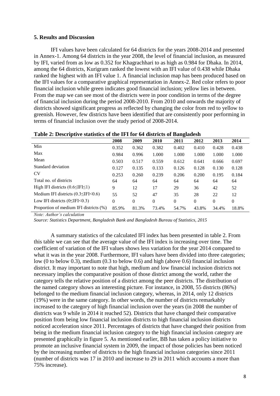#### **5. Results and Discussion**

IFI values have been calculated for 64 districts for the years 2008-2014 and presented in Annex-1. Among 64 districts in the year 2008, the level of financial inclusion, as measured by IFI, varied from as low as 0.352 for Khagrachhari to as high as 0.984 for Dhaka. In 2014, among the 64 districts, Kurigram ranked the lowest with an IFI value of 0.438 while Dhaka ranked the highest with an IFI value 1. A financial inclusion map has been produced based on the IFI values for a comparative graphical representation in Annex-2. Red color refers to poor financial inclusion while green indicates good financial inclusion; yellow lies in between. From the map we can see most of the districts were in poor condition in terms of the degree of financial inclusion during the period 2008-2010. From 2010 and onwards the majority of districts showed significant progress as reflected by changing the color from red to yellow to greenish. However, few districts have been identified that are consistently poor performing in terms of financial inclusion over the study period of 2008-2014.

| Tuble 21 Descriptive statistics of the 11 February of Building Control of the statistics of |          |          |          |          |                |          |       |  |  |
|---------------------------------------------------------------------------------------------|----------|----------|----------|----------|----------------|----------|-------|--|--|
|                                                                                             | 2008     | 2009     | 2010     | 2011     | 2012           | 2013     | 2014  |  |  |
| Min                                                                                         | 0.352    | 0.362    | 0.382    | 0.402    | 0.410          | 0.428    | 0.438 |  |  |
| Max                                                                                         | 0.984    | 0.996    | 1.000    | 1.000    | 1.000          | 1.000    | 1.000 |  |  |
| Mean                                                                                        | 0.503    | 0.517    | 0.559    | 0.612    | 0.641          | 0.666    | 0.697 |  |  |
| Standard deviation                                                                          | 0.127    | 0.135    | 0.133    | 0.126    | 0.128          | 0.130    | 0.128 |  |  |
| <b>CV</b>                                                                                   | 0.253    | 0.260    | 0.239    | 0.206    | 0.200          | 0.195    | 0.184 |  |  |
| Total no. of districts                                                                      | 64       | 64       | 64       | 64       | 64             | 64       | 64    |  |  |
| High IFI districts $(0.6 \leq IFI \leq 1)$                                                  | 9        | 12       | 17       | 29       | 36             | 42       | 52    |  |  |
| Medium IFI districts $(0.3 \leq IFI < 0.6)$                                                 | 55       | 52       | 47       | 35       | 28             | 22       | 12    |  |  |
| Low IFI districts $(0 \leq IFI < 0.3)$                                                      | $\theta$ | $\Omega$ | $\theta$ | $\Omega$ | $\overline{0}$ | $\theta$ | 0     |  |  |
| Proportion of medium IFI districts (%)                                                      | 85.9%    | 81.3%    | 73.4%    | 54.7%    | 43.8%          | 34.4%    | 18.8% |  |  |

*Note: Author's calculation*

*Source: Statistics Department, Bangladesh Bank and Bangladesh Bureau of Statistics, 2015*

A summary statistics of the calculated IFI index has been presented in table 2. From this table we can see that the average value of the IFI index is increasing over time. The coefficient of variation of the IFI values shows less variation for the year 2014 compared to what it was in the year 2008. Furthermore, IFI values have been divided into three categories; low (0 to below 0.3), medium (0.3 to below 0.6) and high (above 0.6) financial inclusion district. It may important to note that high, medium and low financial inclusion districts not necessary implies the comparative position of those district among the world, rather the category tells the relative position of a district among the peer districts. The distribution of the named category shows an interesting picture. For instance, in 2008, 55 districts (86%) belonged to the medium financial inclusion category, whereas, in 2014, only 12 districts (19%) were in the same category. In other words, the number of districts remarkably increased to the category of high financial inclusion over the years (in 2008 the number of districts was 9 while in 2014 it reached 52). Districts that have changed their comparative position from being low financial inclusion districts to high financial inclusion districts noticed acceleration since 2011. Percentages of districts that have changed their position from being in the medium financial inclusion category to the high financial inclusion category are presented graphically in figure 5. As mentioned earlier, BB has taken a policy initiative to promote an inclusive financial system in 2009, the impact of those policies has been noticed by the increasing number of districts to the high financial inclusion categories since 2011 (number of districts was 17 in 2010 and increase to 29 in 2011 which accounts a more than 75% increase).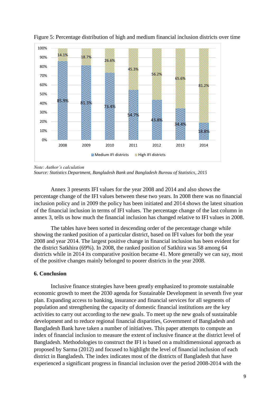

Figure 5: Percentage distribution of high and medium financial inclusion districts over time

Annex 3 presents IFI values for the year 2008 and 2014 and also shows the percentage change of the IFI values between these two years. In 2008 there was no financial inclusion policy and in 2009 the policy has been initiated and 2014 shows the latest situation of the financial inclusion in terms of IFI values. The percentage change of the last column in annex 3, tells us how much the financial inclusion has changed relative to IFI values in 2008.

The tables have been sorted in descending order of the percentage change while showing the ranked position of a particular district, based on IFI values for both the year 2008 and year 2014. The largest positive change in financial inclusion has been evident for the district Satkhira (69%). In 2008, the ranked position of Satkhira was 58 among 64 districts while in 2014 its comparative position became 41. More generally we can say, most of the positive changes mainly belonged to poorer districts in the year 2008.

## **6. Conclusion**

Inclusive finance strategies have been greatly emphasized to promote sustainable economic growth to meet the 2030 agenda for Sustainable Development in seventh five year plan. Expanding access to banking, insurance and financial services for all segments of population and strengthening the capacity of domestic financial institutions are the key activities to carry out according to the new goals. To meet up the new goals of sustainable development and to reduce regional financial disparities, Government of Bangladesh and Bangladesh Bank have taken a number of initiatives. This paper attempts to compute an index of financial inclusion to measure the extent of inclusive finance at the district level of Bangladesh. Methodologies to construct the IFI is based on a multidimensional approach as proposed by Sarma (2012) and focused to highlight the level of financial inclusion of each district in Bangladesh. The index indicates most of the districts of Bangladesh that have experienced a significant progress in financial inclusion over the period 2008-2014 with the

*Note: Author's calculation*

*Source: Statistics Department, Bangladesh Bank and Bangladesh Bureau of Statistics, 2015*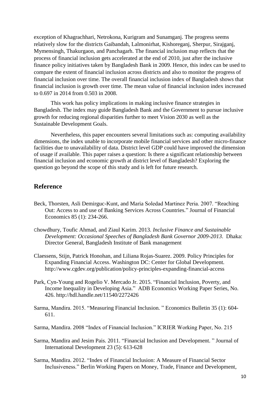exception of Khagrachhari, Netrokona, Kurigram and Sunamganj. The progress seems relatively slow for the districts Gaibandah, Lalmonirhat, Kishoreganj, Sherpur, Sirajganj, Mymensingh, Thakurgaon, and Panchagarh. The financial inclusion map reflects that the process of financial inclusion gets accelerated at the end of 2010, just after the inclusive finance policy initiatives taken by Bangladesh Bank in 2009. Hence, this index can be used to compare the extent of financial inclusion across districts and also to monitor the progress of financial inclusion over time. The overall financial inclusion index of Bangladesh shows that financial inclusion is growth over time. The mean value of financial inclusion index increased to 0.697 in 2014 from 0.503 in 2008.

This work has policy implications in making inclusive finance strategies in Bangladesh. The index may guide Bangladesh Bank and the Government to pursue inclusive growth for reducing regional disparities further to meet Vision 2030 as well as the Sustainable Development Goals.

Nevertheless, this paper encounters several limitations such as: computing availability dimensions, the index unable to incorporate mobile financial services and other micro-finance facilities due to unavailability of data. District level GDP could have improved the dimension of usage if available. This paper raises a question: Is there a significant relationship between financial inclusion and economic growth at district level of Bangladesh? Exploring the question go beyond the scope of this study and is left for future research.

## **Reference**

- Beck, Thorsten, Asli Demirguc-Kunt, and Maria Soledad Martinez Peria. 2007. "Reaching Out: Access to and use of Banking Services Across Countries." Journal of Financial Economics 85 (1): 234-266.
- Chowdhury, Toufic Ahmad, and Ziaul Karim. 2013. *Inclusive Finance and Sustainable Development: Occasional Speeches of Bangladesh Bank Governor 2009-2013*. Dhaka: Director General, Bangladesh Institute of Bank management
- Claessens, Stijn, Patrick Honohan, and Liliana Rojas-Suarez. 2009. Policy Principles for Expanding Financial Access. Washington DC: Center for Global Development. <http://www.cgdev.org/publication/policy-principles-expanding-financial-access>
- Park, Cyn-Young and Rogelio V. Mercado Jr. 2015. "Financial Inclusion, Poverty, and Income Inequality in Developing Asia." ADB Economics Working Paper Series, No. 426.<http://hdl.handle.net/11540/2272426>
- Sarma, Mandira. 2015. "Measuring Financial Inclusion. " Economics Bulletin 35 (1): 604- 611.
- Sarma, Mandira. 2008 "Index of Financial Inclusion." ICRIER Working Paper, No. 215
- Sarma, Mandira and Jesim Pais. 2011. "Financial Inclusion and Development. " Journal of International Development 23 (5): 613-628
- Sarma, Mandira. 2012. "Index of Financial Inclusion: A Measure of Financial Sector Inclusiveness." Berlin Working Papers on Money, Trade, Finance and Development,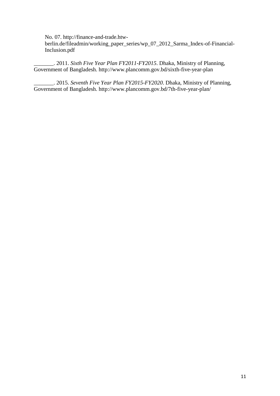No. 07. [http://finance-and-trade.htw](http://finance-and-trade.htw-berlin.de/fileadmin/working_paper_series/wp_07_2012_Sarma_Index-of-Financial-Inclusion.pdf)[berlin.de/fileadmin/working\\_paper\\_series/wp\\_07\\_2012\\_Sarma\\_Index-of-Financial-](http://finance-and-trade.htw-berlin.de/fileadmin/working_paper_series/wp_07_2012_Sarma_Index-of-Financial-Inclusion.pdf)[Inclusion.pdf](http://finance-and-trade.htw-berlin.de/fileadmin/working_paper_series/wp_07_2012_Sarma_Index-of-Financial-Inclusion.pdf)

\_\_\_\_\_\_\_. 2011. *Sixth Five Year Plan FY2011-FY2015*. Dhaka, Ministry of Planning, Government of Bangladesh. http://www.plancomm.gov.bd/sixth-five-year-plan

\_\_\_\_\_\_\_. 2015. *Seventh Five Year Plan FY2015-FY2020*. Dhaka, Ministry of Planning, Government of Bangladesh. http://www.plancomm.gov.bd/7th-five-year-plan/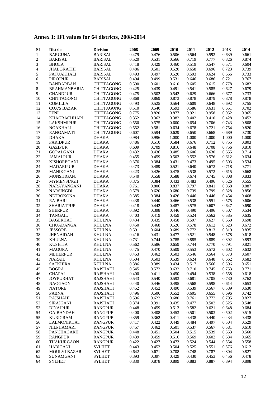|  |  |  |  |  |  | Annex 1: IFI values for 64 districts, 2008-2014 |  |  |  |
|--|--|--|--|--|--|-------------------------------------------------|--|--|--|
|--|--|--|--|--|--|-------------------------------------------------|--|--|--|

| <b>SL</b>    | <b>District</b>                    | <b>Division</b>              | 2008  | 2009  | 2010  | 2011  | 2012  | 2013  | 2014  |
|--------------|------------------------------------|------------------------------|-------|-------|-------|-------|-------|-------|-------|
| $\mathbf{1}$ | <b>BARGUNA</b>                     | <b>BARISAL</b>               | 0.479 | 0.476 | 0.506 | 0.564 | 0.592 | 0.639 | 0.661 |
| 2            | <b>BARISAL</b>                     | <b>BARISAL</b>               | 0.520 | 0.531 | 0.566 | 0.719 | 0.777 | 0.826 | 0.874 |
| 3            | <b>BHOLA</b>                       | <b>BARISAL</b>               | 0.418 | 0.429 | 0.460 | 0.519 | 0.547 | 0.571 | 0.604 |
| 4            | <b>JHALOKATHI</b>                  | <b>BARISAL</b>               | 0.486 | 0.501 | 0.520 | 0.658 | 0.696 | 0.723 | 0.739 |
| 5            | PATUAKHALI                         | <b>BARISAL</b>               | 0.493 | 0.497 | 0.520 | 0.593 | 0.624 | 0.666 | 0.733 |
| 6            | <b>PIROJPUR</b>                    | <b>BARISAL</b>               | 0.494 | 0.499 | 0.531 | 0.646 | 0.686 | 0.721 | 0.767 |
| 7            | <b>BANDARBAN</b>                   | <b>CHITTAGONG</b>            | 0.590 | 0.601 | 0.610 | 0.605 | 0.615 | 0.778 | 0.682 |
| 8            | <b>BRAHMANBARIA</b>                | <b>CHITTAGONG</b>            | 0.425 | 0.439 | 0.491 | 0.541 | 0.585 | 0.627 | 0.679 |
| 9            | <b>CHANDPUR</b>                    | <b>CHITTAGONG</b>            | 0.475 | 0.502 | 0.542 | 0.629 | 0.666 | 0.677 | 0.733 |
| 10           | <b>CHITTAGONG</b>                  | <b>CHITTAGONG</b>            | 0.868 | 0.869 | 0.873 | 0.878 | 0.879 | 0.878 | 0.878 |
| 11           | <b>COMILLA</b>                     | <b>CHITTAGONG</b>            | 0.493 | 0.525 | 0.564 | 0.609 | 0.648 | 0.692 | 0.755 |
| 12           | <b>COX'S BAZAR</b>                 | <b>CHITTAGONG</b>            | 0.510 | 0.540 | 0.593 | 0.586 | 0.631 | 0.651 | 0.702 |
| 13           | <b>FENI</b>                        | <b>CHITTAGONG</b>            | 0.775 | 0.820 | 0.877 | 0.921 | 0.958 | 0.952 | 0.965 |
| 14           | <b>KHAGRACHHARI</b>                | <b>CHITTAGONG</b>            | 0.352 | 0.363 | 0.382 | 0.402 | 0.410 | 0.428 | 0.452 |
| 15           | <b>LAKSHMIPUR</b>                  | <b>CHITTAGONG</b>            | 0.550 | 0.575 | 0.600 | 0.654 | 0.706 | 0.743 | 0.808 |
| 16           | <b>NOAKHALI</b>                    | <b>CHITTAGONG</b>            | 0.552 | 0.581 | 0.634 | 0.678 | 0.721 | 0.754 | 0.820 |
| 17           | <b>RANGAMATI</b>                   | <b>CHITTAGONG</b>            | 0.607 | 0.594 | 0.629 | 0.650 | 0.668 | 0.689 | 0.730 |
| 18           | DHAKA                              | <b>DHAKA</b>                 | 0.984 | 0.996 | 1.000 | 1.000 | 1.000 | 1.000 | 1.000 |
| 19           | <b>FARIDPUR</b>                    | <b>DHAKA</b>                 | 0.486 | 0.510 | 0.584 | 0.676 | 0.712 | 0.755 | 0.803 |
| 20           | <b>GAZIPUR</b>                     | <b>DHAKA</b>                 | 0.609 | 0.709 | 0.816 | 0.648 | 0.708 | 0.756 | 0.810 |
| 21           | <b>GOPALGANJ</b>                   | <b>DHAKA</b>                 | 0.432 | 0.436 | 0.485 | 0.606 | 0.630 | 0.655 | 0.714 |
| 22           | <b>JAMALPUR</b>                    | <b>DHAKA</b>                 | 0.455 | 0.459 | 0.503 | 0.552 | 0.576 | 0.612 | 0.634 |
| 23           | <b>KISHOREGANJ</b>                 | <b>DHAKA</b>                 | 0.376 | 0.384 | 0.431 | 0.473 | 0.495 | 0.503 | 0.534 |
| 24           | <b>MADARIPUR</b>                   | <b>DHAKA</b>                 | 0.473 | 0.489 | 0.521 | 0.640 | 0.672 | 0.718 | 0.771 |
| 25           | MANIKGANJ                          | <b>DHAKA</b>                 | 0.423 | 0.426 | 0.475 | 0.538 | 0.572 | 0.615 | 0.668 |
| 26           | <b>MUNSHIGANJ</b>                  | <b>DHAKA</b>                 | 0.540 | 0.558 | 0.588 | 0.674 | 0.745 | 0.808 | 0.833 |
| 27           | <b>MYMENSINGH</b>                  | <b>DHAKA</b>                 | 0.375 | 0.384 | 0.433 | 0.483 | 0.496 | 0.526 | 0.555 |
| $28\,$       | NARAYANGANJ                        | <b>DHAKA</b>                 | 0.761 | 0.806 | 0.837 | 0.797 | 0.841 | 0.868 | 0.887 |
| 29           | <b>NARSINGDI</b>                   | <b>DHAKA</b>                 | 0.579 | 0.620 | 0.680 | 0.739 | 0.799 | 0.828 | 0.856 |
| 30           |                                    |                              | 0.385 | 0.384 | 0.426 | 0.446 | 0.446 | 0.454 | 0.468 |
| 31           | <b>NETROKONA</b><br><b>RAJBARI</b> | <b>DHAKA</b><br><b>DHAKA</b> | 0.438 | 0.440 | 0.466 | 0.538 | 0.551 | 0.575 | 0.606 |
|              | <b>SHARIATPUR</b>                  | <b>DHAKA</b>                 |       | 0.442 | 0.487 | 0.575 | 0.607 | 0.647 | 0.690 |
| 32           |                                    |                              | 0.418 |       |       |       |       |       |       |
| 33           | <b>SHERPUR</b>                     | <b>DHAKA</b>                 | 0.392 | 0.398 | 0.446 | 0.490 | 0.496 | 0.507 | 0.534 |
| 34           | <b>TANGAIL</b>                     | <b>DHAKA</b>                 | 0.403 | 0.419 | 0.459 | 0.524 | 0.562 | 0.585 | 0.635 |
| 35           | <b>BAGERHAT</b>                    | <b>KHULNA</b>                | 0.434 | 0.435 | 0.458 | 0.597 | 0.627 | 0.660 | 0.698 |
| 36           | <b>CHUADANGA</b>                   | <b>KHULNA</b>                | 0.450 | 0.468 | 0.526 | 0.578 | 0.612 | 0.623 | 0.672 |
| 37           | <b>JESSORE</b>                     | <b>KHULNA</b>                | 0.591 | 0.604 | 0.689 | 0.772 | 0.813 | 0.819 | 0.835 |
| 38           | <b>JHENAIDAH</b>                   | <b>KHULNA</b>                | 0.416 | 0.431 | 0.477 | 0.521 | 0.548 | 0.578 | 0.618 |
| 39           | <b>KHULNA</b>                      | <b>KHULNA</b>                | 0.731 | 0.744 | 0.785 | 0.885 | 0.889 | 0.892 | 0.893 |
| 40           | <b>KUSHTIA</b>                     | <b>KHULNA</b>                | 0.562 | 0.586 | 0.659 | 0.744 | 0.770 | 0.791 | 0.821 |
| 41           | <b>MAGURA</b>                      | <b>KHULNA</b>                | 0.475 | 0.470 | 0.509 | 0.553 | 0.572 | 0.602 | 0.632 |
| 42           | <b>MEHERPUR</b>                    | <b>KHULNA</b>                | 0.453 | 0.462 | 0.503 | 0.546 | 0.564 | 0.573 | 0.607 |
| 43           | <b>NARAIL</b>                      | <b>KHULNA</b>                | 0.504 | 0.503 | 0.539 | 0.624 | 0.648 | 0.662 | 0.682 |
| 44           | <b>SATKHIRA</b>                    | <b>KHULNA</b>                | 0.386 | 0.389 | 0.434 | 0.517 | 0.566 | 0.596 | 0.651 |
| 45           | <b>BOGRA</b>                       | <b>RAJSHAHI</b>              | 0.545 | 0.572 | 0.632 | 0.710 | 0.745 | 0.753 | 0.771 |
| 46           | <b>CHAPAI</b>                      | <b>RAJSHAHI</b>              | 0.400 | 0.411 | 0.450 | 0.494 | 0.538 | 0.558 | 0.618 |
| 47           | <b>JOYPURHAT</b>                   | RAJSHAHI                     | 0.543 | 0.540 | 0.593 | 0.681 | 0.705 | 0.730 | 0.762 |
| 48           | <b>NAOGAON</b>                     | <b>RAJSHAHI</b>              | 0.440 | 0.446 | 0.495 | 0.568 | 0.598 | 0.614 | 0.653 |
| 49           | <b>NATORE</b>                      | <b>RAJSHAHI</b>              | 0.452 | 0.452 | 0.490 | 0.539 | 0.567 | 0.589 | 0.630 |
| 50           | <b>PABNA</b>                       | <b>RAJSHAHI</b>              | 0.496 | 0.506 | 0.552 | 0.605 | 0.655 | 0.696 | 0.742 |
| 51           | <b>RAJSHAHI</b>                    | <b>RAJSHAHI</b>              | 0.596 | 0.622 | 0.680 | 0.761 | 0.772 | 0.795 | 0.827 |
| 52           | <b>SIRAJGANJ</b>                   | <b>RAJSHAHI</b>              | 0.374 | 0.391 | 0.435 | 0.477 | 0.502 | 0.525 | 0.548 |
| 53           | <b>DINAJPUR</b>                    | <b>RANGPUR</b>               | 0.448 | 0.459 | 0.513 | 0.582 | 0.621 | 0.648 | 0.684 |
| 54           | <b>GAIBANDAH</b>                   | <b>RANGPUR</b>               | 0.400 | 0.408 | 0.453 | 0.501 | 0.503 | 0.502 | 0.515 |
| 55           | <b>KURIGRAM</b>                    | <b>RANGPUR</b>               | 0.359 | 0.362 | 0.411 | 0.438 | 0.440 | 0.434 | 0.438 |
| 56           | LALMONIRHAT                        | <b>RANGPUR</b>               | 0.417 | 0.422 | 0.449 | 0.484 | 0.497 | 0.504 | 0.529 |
| 57           | NILPHAMARI                         | <b>RANGPUR</b>               | 0.457 | 0.462 | 0.501 | 0.537 | 0.567 | 0.581 | 0.610 |
| 58           | PANCHAGARH                         | <b>RANGPUR</b>               | 0.448 | 0.451 | 0.504 | 0.515 | 0.539 | 0.553 | 0.560 |
| 59           | <b>RANGPUR</b>                     | <b>RANGPUR</b>               | 0.439 | 0.459 | 0.516 | 0.569 | 0.602 | 0.634 | 0.665 |
| 60           | THAKURGAON                         | <b>RANGPUR</b>               | 0.422 | 0.427 | 0.473 | 0.524 | 0.544 | 0.554 | 0.558 |
| 61           | <b>HABIGANJ</b>                    | <b>SYLHET</b>                | 0.443 | 0.452 | 0.504 | 0.525 | 0.551 | 0.576 | 0.612 |
| 62           | <b>MOULVI BAZAR</b>                | <b>SYLHET</b>                | 0.642 | 0.671 | 0.708 | 0.748 | 0.787 | 0.804 | 0.827 |
| 63           | <b>SUNAMGANJ</b>                   | <b>SYLHET</b>                | 0.393 | 0.397 | 0.429 | 0.430 | 0.453 | 0.456 | 0.478 |
| 64           | <b>SYLHET</b>                      | <b>SYLHET</b>                | 0.830 | 0.878 | 0.899 | 0.883 | 0.887 | 0.894 | 0.898 |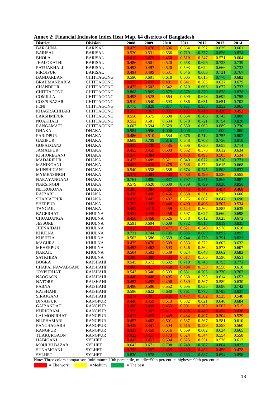|  |  |  |  |  | Annex 2: Financial Inclusion Index Heat Map, 64 districts of Bangladesh |  |
|--|--|--|--|--|-------------------------------------------------------------------------|--|
|  |  |  |  |  |                                                                         |  |

| <b>District</b>                        | <b>Division</b>                        | 2008           | 2009           | 2010           | 2011           | 2012           | 2013           | 2014           |
|----------------------------------------|----------------------------------------|----------------|----------------|----------------|----------------|----------------|----------------|----------------|
| <b>BARGUNA</b>                         | <b>BARISAL</b>                         | 0.479          | 0.476          | 0.506          | 0.564          | 0.592          | 0.639          | 0.661          |
| <b>BARISAL</b>                         | <b>BARISAL</b>                         | 0.520          | 0.531          | 0.566          | 0.719          | 0.777          | 0.826          | 0.874          |
| <b>BHOLA</b>                           | <b>BARISAL</b>                         | 0.418          | 0.429          | 0.460          | 0.519          | 0.547          | 0.571          | 0.604          |
| <b>JHALOKATHI</b>                      | <b>BARISAL</b>                         | 0.486          | 0.501          | 0.520          | 0.658          | 0.696          | 0.723          | 0.739          |
| <b>PATUAKHALI</b>                      | <b>BARISAL</b>                         | 0.493          | 0.497          | 0.520          | 0.593          | 0.624          | 0.666          | 0.733          |
| <b>PIROJPUR</b>                        | <b>BARISAL</b>                         | 0.494          | 0.499          | 0.531          | 0.646          | 0.686          | 0.721          | 0.767          |
| <b>BANDARBAN</b>                       | <b>CHITTAGONG</b>                      | 0.590          | 0.601          | 0.610          | 0.605          | 0.615          | 0.778          | 0.682          |
| <b>BRAHMANBARIA</b>                    | <b>CHITTAGONG</b>                      | 0.425          | 0.439          | 0.491          | 0.541          | 0.585          | 0.627          | 0.679          |
| <b>CHANDPUR</b>                        | <b>CHITTAGONG</b>                      | 0.475          | 0.502          | 0.542          | 0.629          | 0.666          | 0.677          | 0.733          |
| <b>CHITTAGONG</b>                      | <b>CHITTAGONG</b>                      | 0.868          | 0.869          | 0.873          | 0.878          | 0.879          | 0.878          | 0.878          |
| <b>COMILLA</b>                         | <b>CHITTAGONG</b>                      | 0.493          | 0.525          | 0.564          | 0.609          | 0.648          | 0.692          | 0.755          |
| <b>COX'S BAZAR</b>                     | <b>CHITTAGONG</b>                      | 0.510          | 0.540          | 0.593          | 0.586          | 0.631          | 0.651          | 0.702          |
| <b>FENI</b>                            | <b>CHITTAGONG</b>                      | 0.775          | 0.820          | 0.877          | 0.921          | 0.958          | 0.952          | 0.965          |
| <b>KHAGRACHHARI</b>                    | <b>CHITTAGONG</b>                      | 0.352          | 0.363          | 0.382          | 0.402          | 0.410          | 0.428          | 0.452          |
| <b>LAKSHMIPUR</b>                      | <b>CHITTAGONG</b>                      | 0.550<br>0.552 | 0.575          | 0.600          | 0.654          | 0.706          | 0.743          | 0.808          |
| <b>NOAKHALI</b><br><b>RANGAMATI</b>    | <b>CHITTAGONG</b><br><b>CHITTAGONG</b> | 0.607          | 0.581<br>0.594 | 0.634<br>0.629 | 0.678<br>0.650 | 0.721<br>0.668 | 0.754<br>0.689 | 0.820          |
| <b>DHAKA</b>                           | <b>DHAKA</b>                           | 0.984          | 0.996          | 1.000          | 1.000          | 1.000          | 1.000          | 0.730<br>1.000 |
| <b>FARIDPUR</b>                        | <b>DHAKA</b>                           | 0.486          | 0.510          | 0.584          | 0.676          | 0.712          | 0.755          | 0.803          |
| <b>GAZIPUR</b>                         | <b>DHAKA</b>                           | 0.609          | 0.709          | 0.816          | 0.648          | 0.708          | 0.756          | 0.810          |
| <b>GOPALGANJ</b>                       | <b>DHAKA</b>                           | 0.432          | 0.436          | 0.485          | 0.606          | 0.630          | 0.655          | 0.714          |
| <b>JAMALPUR</b>                        | <b>DHAKA</b>                           | 0.455          | 0.459          | 0.503          | 0.552          | 0.576          | 0.612          | 0.634          |
| <b>KISHOREGANJ</b>                     | <b>DHAKA</b>                           | 0.376          | 0.384          | 0.431          | 0.473          | 0.495          | 0.503          | 0.534          |
| <b>MADARIPUR</b>                       | <b>DHAKA</b>                           | 0.473          | 0.489          | 0.521          | 0.640          | 0.672          | 0.718          | 0.771          |
| MANIKGANJ                              | <b>DHAKA</b>                           | 0.423          | 0.426          | 0.475          | 0.538          | 0.572          | 0.615          | 0.668          |
| <b>MUNSHIGANJ</b>                      | <b>DHAKA</b>                           | 0.540          | 0.558          | 0.588          | 0.674          | 0.745          | 0.808          | 0.833          |
| <b>MYMENSINGH</b>                      | DHAKA                                  | 0.375          | 0.384          | 0.433          | 0.483          | 0.496          | 0.526          | 0.555          |
| NARAYANGANJ                            | <b>DHAKA</b>                           | 0.761          | 0.806          | 0.837          | 0.797          | 0.841          | 0.868          | 0.887          |
| <b>NARSINGDI</b>                       | <b>DHAKA</b>                           | 0.579          | 0.620          | 0.680          | 0.739          | 0.799          | 0.828          | 0.856          |
| <b>NETROKONA</b>                       | <b>DHAKA</b>                           | 0.385          | 0.384          | 0.426          | 0.446          | 0.446          | 0.454          | 0.468          |
| <b>RAJBARI</b>                         | <b>DHAKA</b>                           | 0.438          | 0.440          | 0.466          | 0.538          | 0.551          | 0.575          | 0.606          |
| <b>SHARIATPUR</b>                      | <b>DHAKA</b>                           | 0.418          | 0.442          | 0.487          | 0.575          | 0.607          | 0.647          | 0.690          |
| <b>SHERPUR</b>                         | <b>DHAKA</b>                           | 0.392          | 0.398          | 0.446          | 0.490          | 0.496          | 0.507          | 0.534          |
| <b>TANGAIL</b>                         | <b>DHAKA</b>                           | 0.403          | 0.419          | 0.459          | 0.524          | 0.562          | 0.585          | 0.635          |
| <b>BAGERHAT</b>                        | <b>KHULNA</b>                          | 0.434          | 0.435          | 0.458          | 0.597          | 0.627          | 0.660          | 0.698          |
| CHUADANGA                              | <b>KHULNA</b>                          | 0.450          | 0.468          | 0.526          | 0.578          | 0.612          | 0.623          | 0.672          |
| <b>JESSORE</b>                         | <b>KHULNA</b>                          | 0.591          | 0.604          | 0.689          | 0.772          | 0.813          | 0.819          | 0.835          |
| <b>JHENAIDAH</b>                       | <b>KHULNA</b>                          | 0.416          | 0.431          | 0.477          | 0.521          | 0.548          | 0.578          | 0.618          |
| <b>KHULNA</b>                          | <b>KHULNA</b>                          | 0.731          | 0.744          | 0.785          | 0.885          | 0.889          | 0.892          | 0.893          |
| <b>KUSHTIA</b>                         | <b>KHULNA</b>                          | 0.562          | 0.586          | 0.659          | 0.744          | 0.770          | 0.791          | 0.821          |
| <b>MAGURA</b>                          | <b>KHULNA</b>                          | 0.475          | 0.470          | 0.509          | 0.553          | 0.572          | 0.602          | 0.632          |
| <b>MEHERPUR</b>                        | <b>KHULNA</b>                          | 0.453          | 0.462          | 0.503          | 0.546          | 0.564          | 0.573          | 0.607          |
| <b>NARAIL</b>                          | <b>KHULNA</b>                          | 0.504          | 0.503          | 0.539          | 0.624          | 0.648          | 0.662          | 0.682          |
| <b>SATKHIRA</b>                        | <b>KHULNA</b>                          | 0.386          | 0.389          | 0.434          | 0.517          | 0.566          | 0.596          | 0.651          |
| <b>BOGRA</b>                           | <b>RAJSHAHI</b>                        | 0.545          | 0.572          | 0.632          | 0.710          | 0.745          | 0.753          | 0.771          |
| CHAPAI NAWABGANJ                       | <b>RAJSHAHI</b>                        | 0.400          | 0.411          | 0.450          | 0.494          | 0.538          | 0.558          | 0.618          |
| <b>JOYPURHAT</b>                       | <b>RAJSHAHI</b>                        | 0.543          | 0.540          | 0.593          | 0.681          | 0.705          | 0.730          | 0.762          |
| <b>NAOGAON</b>                         | <b>RAJSHAHI</b>                        | 0.440          | 0.446          | 0.495          | 0.568          | 0.598          | 0.614          | 0.653          |
| <b>NATORE</b>                          | <b>RAJSHAHI</b>                        | 0.452          | 0.452          | 0.490          | 0.539          | 0.567          | 0.589          | 0.630          |
| <b>PABNA</b>                           | <b>RAJSHAHI</b>                        | 0.496          | 0.506          | 0.552          | 0.605          | 0.655          | 0.696          | 0.742          |
| <b>RAJSHAHI</b>                        | <b>RAJSHAHI</b>                        | 0.596          | 0.622          | 0.680          | 0.761          | 0.772          | 0.795          | 0.827          |
| <b>SIRAJGANJ</b>                       | <b>RAJSHAHI</b>                        | 0.374          | 0.391          | 0.435          | 0.477          | 0.502          | 0.525          | 0.548          |
| <b>DINAJPUR</b>                        | <b>RANGPUR</b>                         | 0.448          | 0.459          | 0.513          | 0.582          | 0.621          | 0.648          | 0.684          |
| <b>GAIBANDAH</b>                       | <b>RANGPUR</b>                         | 0.400          | 0.408          | 0.453          | 0.501          | 0.503          | 0.502          | 0.515          |
| <b>KURIGRAM</b>                        | <b>RANGPUR</b>                         | 0.359          | 0.362          | 0.411          | 0.438          | 0.440          | 0.434          | 0.438          |
| LALMONIRHAT                            | <b>RANGPUR</b>                         | 0.417          | 0.422          | 0.449          | 0.484          | 0.497          | 0.504          | 0.529          |
| <b>NILPHAMARI</b>                      | <b>RANGPUR</b>                         | 0.457          | 0.462          | 0.501          | 0.537          | 0.567          | 0.581          | 0.610          |
| PANCHAGARH                             | <b>RANGPUR</b>                         | 0.448          | 0.451          | 0.504          | 0.515          | 0.539          | 0.553          | 0.560          |
| <b>RANGPUR</b><br><b>THAKURGAON</b>    | <b>RANGPUR</b><br><b>RANGPUR</b>       | 0.439<br>0.422 | 0.459<br>0.427 | 0.516<br>0.473 | 0.569<br>0.524 | 0.602<br>0.544 | 0.634<br>0.554 | 0.665<br>0.558 |
|                                        |                                        |                |                |                |                |                |                |                |
| <b>HABIGANJ</b><br><b>MOULVI BAZAR</b> | <b>SYLHET</b><br><b>SYLHET</b>         | 0.443<br>0.642 | 0.452<br>0.671 | 0.504<br>0.708 | 0.525<br>0.748 | 0.551<br>0.787 | 0.576<br>0.804 | 0.612<br>0.827 |
| <b>SUNAMGANJ</b>                       | <b>SYLHET</b>                          | 0.393          | 0.397          | 0.429          | 0.430          | 0.453          | 0.456          | 0.478          |
| <b>SYLHET</b>                          | <b>SYLHET</b>                          | 0.830          | 0.878          | 0.899          | 0.883          | 0.887          | 0.894          | 0.898          |
|                                        |                                        |                |                |                |                |                |                |                |

Note: Three colors comparison (minimum= 10th percentile, middle=50th percentile, highest= 90th percentile

 $=$  The worst  $=$ Medium  $=$  The best